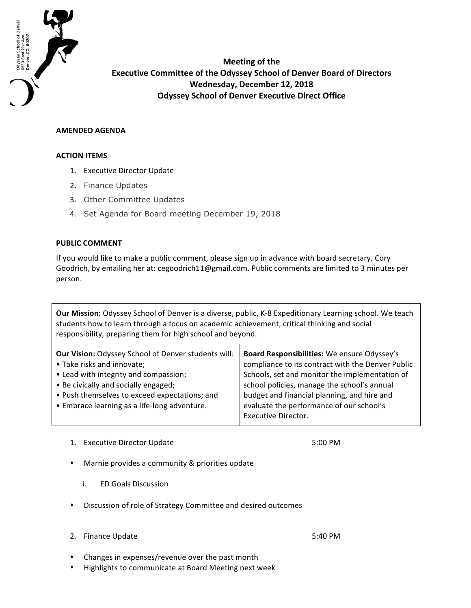

**Meeting of the Executive Committee of the Odyssey School of Denver Board of Directors Wednesday, December 12, 2018 Odyssey School of Denver Executive Direct Office** 

## **AMENDED AGENDA**

## **ACTION ITEMS**

- 1. Executive Director Update
- 2. Finance Updates
- 3. Other Committee Updates
- 4. Set Agenda for Board meeting December 19, 2018

## **PUBLIC COMMENT**

If you would like to make a public comment, please sign up in advance with board secretary, Cory Goodrich, by emailing her at: cegoodrich11@gmail.com. Public comments are limited to 3 minutes per person.

**Our Mission:** Odyssey School of Denver is a diverse, public, K-8 Expeditionary Learning school. We teach students how to learn through a focus on academic achievement, critical thinking and social responsibility, preparing them for high school and beyond.

| <b>Our Vision: Odyssey School of Denver students will:</b>                                    | Board Responsibilities: We ensure Odyssey's                                                                           |
|-----------------------------------------------------------------------------------------------|-----------------------------------------------------------------------------------------------------------------------|
| • Take risks and innovate;                                                                    | compliance to its contract with the Denver Public                                                                     |
| • Lead with integrity and compassion;                                                         | Schools, set and monitor the implementation of                                                                        |
| • Be civically and socially engaged;                                                          | school policies, manage the school's annual                                                                           |
| • Push themselves to exceed expectations; and<br>• Embrace learning as a life-long adventure. | budget and financial planning, and hire and<br>evaluate the performance of our school's<br><b>Executive Director.</b> |

1. Executive Director Update

5:00 PM

- Marnie provides a community & priorities update
	- i. ED Goals Discussion
- Discussion of role of Strategy Committee and desired outcomes
- 2. Finance Update
- 5:40 PM
- Changes in expenses/revenue over the past month
- Highlights to communicate at Board Meeting next week